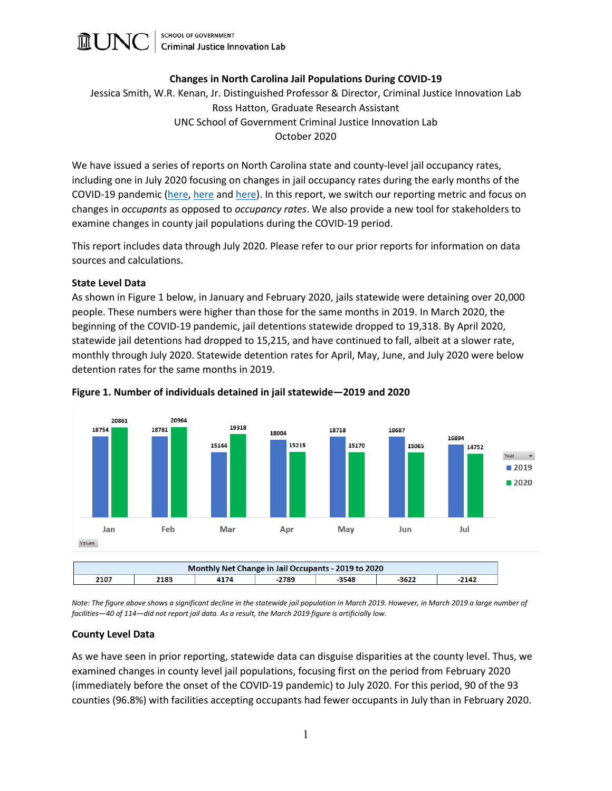

# **Changes in North Carolina Jail Populations During COVID-19**

Jessica Smith, W.R. Kenan, Jr. Distinguished Professor & Director, Criminal Justice Innovation Lab Ross Hatton, Graduate Research Assistant UNC School of Government Criminal Justice Innovation Lab October 2020

We have issued a series of reports on North Carolina state and county-level jail occupancy rates, including one in July 2020 focusing on changes in jail occupancy rates during the early months of the COVID-19 pandemic [\(here,](https://cjil.sog.unc.edu/files/2020/07/7.10.20-2020-Jail-Occupancy-Rates-FINAL.pdf) [here](https://cjil.sog.unc.edu/files/2020/04/2019-North-Carolina-Jail-Occupancy-Rates.pdf) and [here\)](https://cjil.sog.unc.edu/files/2020/01/2018-North-Carolina-Jail-Occupancy-Rates-hyperlink.pdf). In this report, we switch our reporting metric and focus on changes in *occupants* as opposed to *occupancy rates*. We also provide a new tool for stakeholders to examine changes in county jail populations during the COVID-19 period.

This report includes data through July 2020. Please refer to our prior reports for information on data sources and calculations.

### **State Level Data**

As shown in Figure 1 below, in January and February 2020, jails statewide were detaining over 20,000 people. These numbers were higher than those for the same months in 2019. In March 2020, the beginning of the COVID-19 pandemic, jail detentions statewide dropped to 19,318. By April 2020, statewide jail detentions had dropped to 15,215, and have continued to fall, albeit at a slower rate, monthly through July 2020. Statewide detention rates for April, May, June, and July 2020 were below detention rates for the same months in 2019.



### **Figure 1. Number of individuals detained in jail statewide—2019 and 2020**

*Note: The figure above shows a significant decline in the statewide jail population in March 2019. However, in March 2019 a large number of facilities—40 of 114—did not report jail data. As a result, the March 2019 figure is artificially low.*

#### **County Level Data**

As we have seen in prior reporting, statewide data can disguise disparities at the county level. Thus, we examined changes in county level jail populations, focusing first on the period from February 2020 (immediately before the onset of the COVID-19 pandemic) to July 2020. For this period, 90 of the 93 counties (96.8%) with facilities accepting occupants had fewer occupants in July than in February 2020.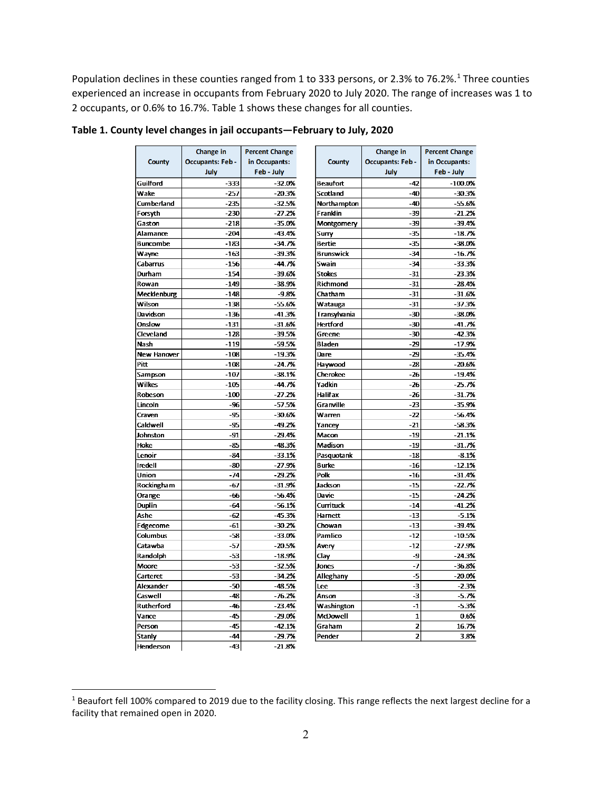Population declines in these counties ranged from [1](#page-1-0) to 333 persons, or 2.3% to 76.2%.<sup>1</sup> Three counties experienced an increase in occupants from February 2020 to July 2020. The range of increases was 1 to 2 occupants, or 0.6% to 16.7%. Table 1 shows these changes for all counties.

|                    | Change in              | <b>Percent Change</b> |                  | Change in               | <b>Percent Change</b> |
|--------------------|------------------------|-----------------------|------------------|-------------------------|-----------------------|
| <b>County</b>      | <b>Occupants: Feb-</b> | in Occupants:         | <b>County</b>    | <b>Occupants: Feb-</b>  | in Occupants:         |
|                    | July                   | Feb - July            |                  | July                    | Feb - July            |
| Guilford           | -333                   | $-32.0%$              | <b>Beaufort</b>  | $-42$                   | $-100.0%$             |
| Wake               | $-257$                 | $-20.3%$              | Scotland         | $-40$                   | $-30.3%$              |
| Cumberland         | $-235$                 | $-32.5%$              | Northampton      | $-40$                   | $-55.6%$              |
| Forsyth            | $-230$                 | $-27.2%$              | Franklin         | -39                     | $-21.2%$              |
| Gaston             | $-218$                 | $-35.0%$              | Montgomery       | -39                     | $-39.4%$              |
| Alamance           | $-204$                 | $-43.4%$              | Surry            | $-35$                   | $-18.7%$              |
| <b>Buncombe</b>    | $-183$                 | $-34.7%$              | Bertie           | $-35$                   | $-38.0%$              |
| Wayne              | $-163$                 | $-39.3%$              | <b>Brunswick</b> | $-34$                   | $-16.7%$              |
| Cabarrus           | $-156$                 | $-44.7%$              | Swain            | $-34$                   | $-33.3%$              |
| Durham             | $-154$                 | $-39.6%$              | <b>Stokes</b>    | $-31$                   | $-23.3%$              |
| Rowan              | $-149$                 | $-38.9%$              | Richmond         | $-31$                   | $-28.4%$              |
| Mecklenburg        | $-148$                 | $-9.8%$               | Chatham          | $-31$                   | $-31.6%$              |
| Wilson             | $-138$                 | $-55.6%$              | Watauga          | $-31$                   | $-37.3%$              |
| Davidson           | $-136$                 | $-41.3%$              | Transylvania     | $-30$                   | $-38.0%$              |
| Onslow             | $-131$                 | $-31.6%$              | <b>Hertford</b>  | $-30$                   | $-41.7%$              |
| Cleveland          | $-128$                 | -39.5%                | Greene           | -30                     | $-42.3%$              |
| Nash               | $-119$                 | $-59.5%$              | Bladen           | $-29$                   | $-17.9%$              |
| <b>New Hanover</b> | $-108$                 | $-19.3%$              | <b>Dare</b>      | -29                     | $-35.4%$              |
| Pitt               | $-108$                 | $-24.7%$              | Haywood          | $-28$                   | $-20.6%$              |
| Sampson            | $-107$                 | $-38.1%$              | Cherokee         | $-26$                   | $-19.4%$              |
| Wilkes             | $-105$                 | $-44.7%$              | Yadkin           | $-26$                   | $-25.7%$              |
| Robeson            | $-100$                 | $-27.2%$              | Halifax          | $-26$                   | $-31.7%$              |
| Lincoln            | -96                    | $-57.5%$              | Granville        | $-23$                   | $-35.9%$              |
| Craven             | $-95$                  | $-30.6%$              | Warren           | $-22$                   | $-56.4%$              |
| Caldwell           | -95                    | $-49.2%$              | Yancev           | $-21$                   | $-58.3%$              |
| Johnston           | $-91$                  | $-29.4%$              | Macon            | $-19$                   | $-21.1%$              |
| <b>Hoke</b>        | $-85$                  | -48.3%                | Madison          | $-19$                   | $-31.7%$              |
| Lenoir             | $-84$                  | $-33.1%$              | Pasquotank       | $-18$                   | $-8.1%$               |
| Iredell            | $-80$                  | $-27.9%$              | <b>Burke</b>     | $-16$                   | $-12.1%$              |
| Union              | $-74$                  | $-29.2%$              | Polk             | $-16$                   | $-31.4%$              |
| Rockingham         | -67                    | $-31.9%$              | Jackson          | $-15$                   | $-22.7%$              |
| Orange             | -66                    | $-56.4%$              | Davie            | $-15$                   | $-24.2%$              |
| Duplin             | $-64$                  | $-56.1%$              | Currituck        | $-14$                   | $-41.2%$              |
| Ashe               | $-62$                  | $-45.3%$              | Harnett          | $-13$                   | $-5.1%$               |
|                    | $-61$                  |                       | Chowan           | $-13$                   |                       |
| Edgecome           | -58                    | $-30.2%$              |                  | $-12$                   | $-39.4%$              |
| Columbus           |                        | $-33.0%$              | Pamlico          |                         | $-10.5%$              |
| Catawba            | -57                    | $-20.5%$              | Avery            | $-12$                   | $-27.9%$              |
| Randolph           | $-53$                  | $-18.9%$              | Clay             | -9                      | $-24.3%$              |
| Moore              | $-53$                  | $-32.5%$              | Jones            | -7                      | $-36.8%$              |
| Carteret           | $-53$                  | $-34.2%$              | Alleghany        | $-5$                    | $-20.0%$              |
| Alexander          | $-50$                  | $-48.5%$              | Lee              | -3                      | $-2.3%$               |
| Caswell            | $-48$                  | $-76.2%$              | Anson            | -3                      | $-5.7%$               |
| Rutherford         | $-46$                  | $-23.4%$              | Washington       | $-1$                    | $-5.3%$               |
| Vance              | $-45$                  | $-29.0%$              | McDowell         | $\mathbf{1}$            | 0.6%                  |
| Person             | $-45$                  | $-42.1%$              | Graham           | $\overline{\mathbf{z}}$ | 16.7%                 |
| Stanly             | $-44$                  | $-29.7%$              | Pender           | $\overline{z}$          | 3.8%                  |
| Henderson          | $-43$                  | $-21.8%$              |                  |                         |                       |

# **Table 1. County level changes in jail occupants—February to July, 2020**

<span id="page-1-0"></span><sup>&</sup>lt;sup>1</sup> Beaufort fell 100% compared to 2019 due to the facility closing. This range reflects the next largest decline for a facility that remained open in 2020.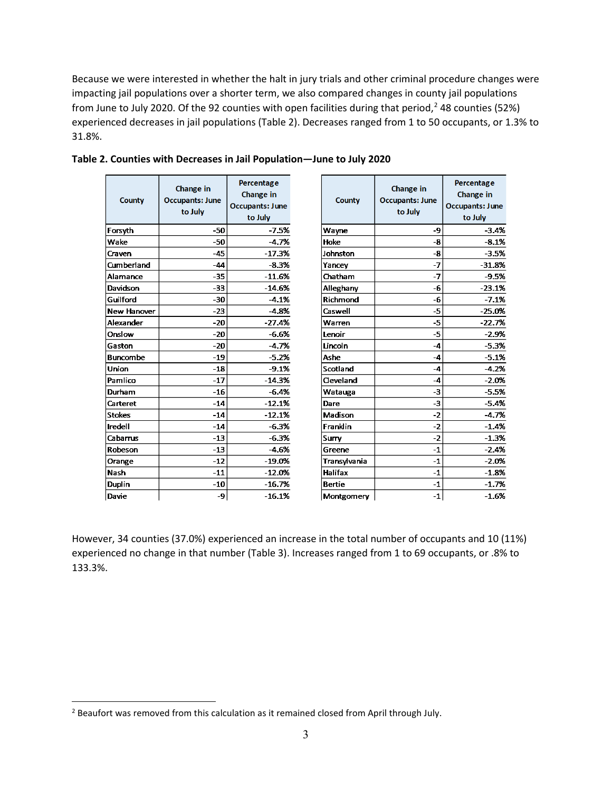Because we were interested in whether the halt in jury trials and other criminal procedure changes were impacting jail populations over a shorter term, we also compared changes in county jail populations from June to July 2020. Of the 92 counties with open facilities during that period, [2](#page-2-0) 48 counties (52%) experienced decreases in jail populations (Table 2). Decreases ranged from 1 to 50 occupants, or 1.3% to 31.8%.

> $-3.4%$  $-8.1%$  $-3.5%$  $-31.8%$ -9.5%  $-23.1%$  $-7.1%$  $-25.0%$  $-22.7%$ -2.9%  $-5.3%$  $-5.1%$ -4.2%  $-2.0%$  $-5.5%$  $-5.4%$  $-4.7%$  $-1.4%$  $-1.3%$  $-2.4%$  $-2.0%$  $-1.8%$  $-1.7%$  $-1.6%$

| County          | Change in<br><b>Occupants: June</b><br>to July | Percentage<br>Change in<br><b>Occupants: June</b><br>to July | County        | Change in<br><b>Occupants: June</b><br>to July | Percentage<br>Change in<br><b>Occupants: June</b><br>to July |
|-----------------|------------------------------------------------|--------------------------------------------------------------|---------------|------------------------------------------------|--------------------------------------------------------------|
| Forsyth         | $-50$                                          | $-7.5%$                                                      | Wayne         | -9                                             | $-3.4%$                                                      |
| Wake            | $-50$                                          | $-4.7%$                                                      | Hoke          | -8                                             | $-8.1%$                                                      |
| Craven          | $-45$                                          | $-17.3%$                                                     | Johnston      | -8                                             | $-3.5%$                                                      |
| Cumberland      | $-44$                                          | $-8.3%$                                                      | Yancey        | $-7$                                           | $-31.8%$                                                     |
| Alamance        | $-35$                                          | $-11.6%$                                                     | Chatham       | $-7$                                           | $-9.5%$                                                      |
| Davidson        | $-33$                                          | $-14.6%$                                                     | Alleghany     | -6                                             | $-23.1%$                                                     |
| Guilford        | $-30$                                          | $-4.1%$                                                      | Richmond      | -6                                             | $-7.1%$                                                      |
| New Hanover     | $-23$                                          | $-4.8%$                                                      | Caswell       | $-5$                                           | $-25.0%$                                                     |
| Alexander       | $-20$                                          | $-27.4%$                                                     | Warren        | $-5$                                           | $-22.7%$                                                     |
| Onslow          | $-20$                                          | $-6.6%$                                                      | Lenoir        | $-5$                                           | $-2.9%$                                                      |
| Gaston          | $-20$                                          | $-4.7%$                                                      | Lincoln       | $-4$                                           | $-5.3%$                                                      |
| <b>Buncombe</b> | $-19$                                          | $-5.2%$                                                      | Ashe          | $-4$                                           | $-5.1%$                                                      |
| Union           | $-18$                                          | $-9.1%$                                                      | Scotland      | $-4$                                           | $-4.2%$                                                      |
| Pamlico         | $-17$                                          | $-14.3%$                                                     | Cleveland     | $-4$                                           | $-2.0%$                                                      |
| Durham          | $-16$                                          | $-6.4%$                                                      | Watauga       | $-3$                                           | $-5.5%$                                                      |
| Carteret        | $-14$                                          | $-12.1%$                                                     | Dare          | $-3$                                           | $-5.4%$                                                      |
| <b>Stokes</b>   | $-14$                                          | $-12.1%$                                                     | Madison       | $-2$                                           | $-4.7%$                                                      |
| <b>Iredell</b>  | $-14$                                          | $-6.3%$                                                      | Franklin      | $-2$                                           | $-1.4%$                                                      |
| Cabarrus        | $-13$                                          | $-6.3%$                                                      | Surry         | $-2$                                           | $-1.3%$                                                      |
| Robeson         | $-13$                                          | -4.6%                                                        | Greene        | $-1$                                           | $-2.4%$                                                      |
| Orange          | $-12$                                          | $-19.0%$                                                     | Transylvania  | $-1$                                           | $-2.0%$                                                      |
| Nash            | $-11$                                          | $-12.0%$                                                     | Halifax       | $-1$                                           | $-1.8%$                                                      |
| Duplin          | $-10$                                          | $-16.7%$                                                     | <b>Bertie</b> | $-1$                                           | $-1.7%$                                                      |
| Davie           | -9                                             | $-16.1%$                                                     | Montgomery    | $-1$                                           | $-1.6%$                                                      |

## **Table 2. Counties with Decreases in Jail Population—June to July 2020**

However, 34 counties (37.0%) experienced an increase in the total number of occupants and 10 (11%) experienced no change in that number (Table 3). Increases ranged from 1 to 69 occupants, or .8% to 133.3%.

<span id="page-2-0"></span><sup>&</sup>lt;sup>2</sup> Beaufort was removed from this calculation as it remained closed from April through July.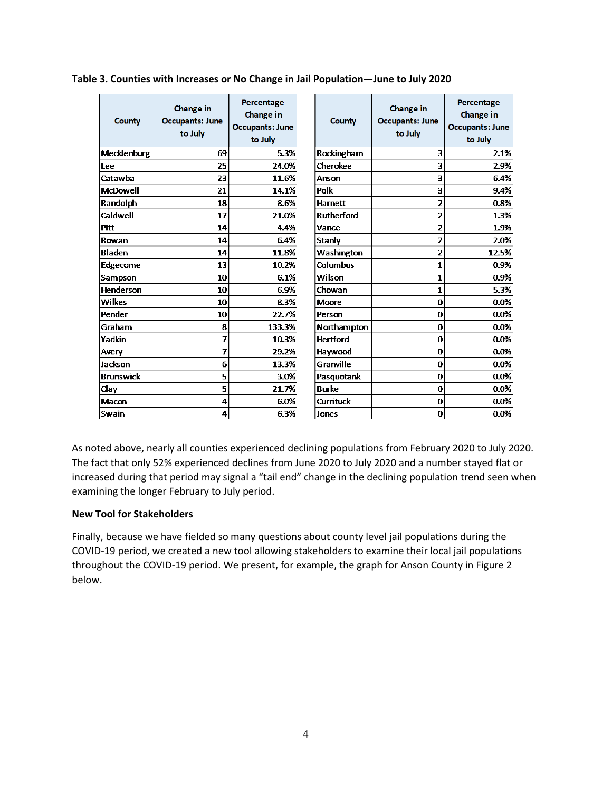| <b>County</b>    | Change in<br><b>Occupants: June</b><br>to July | Percentage<br>Change in<br><b>Occupants: June</b><br>to July | County            | Change in<br><b>Occupants: June</b><br>to July | Percentage<br>Change in<br><b>Occupants: June</b><br>to July |
|------------------|------------------------------------------------|--------------------------------------------------------------|-------------------|------------------------------------------------|--------------------------------------------------------------|
| Mecklenburg      | 69                                             | 5.3%                                                         | Rockingham        | 3                                              | 2.1%                                                         |
| Lee              | 25                                             | 24.0%                                                        | Cherokee          | 3                                              | 2.9%                                                         |
| Catawba          | 23                                             | 11.6%                                                        | Anson             | 3                                              | 6.4%                                                         |
| <b>McDowell</b>  | 21                                             | 14.1%                                                        | Polk              | 3                                              | 9.4%                                                         |
| Randolph         | 18                                             | 8.6%                                                         | <b>Harnett</b>    | $\overline{2}$                                 | 0.8%                                                         |
| Caldwell         | 17                                             | 21.0%                                                        | <b>Rutherford</b> | 2                                              | 1.3%                                                         |
| <b>Pitt</b>      | 14                                             | 4.4%                                                         | Vance             | $\overline{2}$                                 | 1.9%                                                         |
| Rowan            | 14                                             | 6.4%                                                         | Stanly            | $\overline{2}$                                 | 2.0%                                                         |
| <b>Bladen</b>    | 14                                             | 11.8%                                                        | Washington        | $\overline{2}$                                 | 12.5%                                                        |
| Edgecome         | 13                                             | 10.2%                                                        | Columbus          | $\mathbf{1}$                                   | 0.9%                                                         |
| Sampson          | 10                                             | 6.1%                                                         | Wilson            | $\mathbf{1}$                                   | 0.9%                                                         |
| <b>Henderson</b> | 10                                             | 6.9%                                                         | Chowan            | $\mathbf{1}$                                   | 5.3%                                                         |
| Wilkes           | 10                                             | 8.3%                                                         | <b>Moore</b>      | $\bf{0}$                                       | 0.0%                                                         |
| Pender           | 10                                             | 22.7%                                                        | Person            | $\bf{0}$                                       | 0.0%                                                         |
| Graham           | 8                                              | 133.3%                                                       | Northampton       | $\bf{0}$                                       | 0.0%                                                         |
| Yadkin           | 7                                              | 10.3%                                                        | <b>Hertford</b>   | $\Omega$                                       | 0.0%                                                         |
| Avery            | 7                                              | 29.2%                                                        | Haywood           | 0                                              | 0.0%                                                         |
| Jackson          | 6                                              | 13.3%                                                        | Granville         | $\bf{0}$                                       | 0.0%                                                         |
| <b>Brunswick</b> | 5                                              | 3.0%                                                         | Pasquotank        | $\bf{0}$                                       | 0.0%                                                         |
| Clay             | 5                                              | 21.7%                                                        | <b>Burke</b>      | $\bf{0}$                                       | 0.0%                                                         |
| Macon            | 4                                              | 6.0%                                                         | Currituck         | $\bf{0}$                                       | 0.0%                                                         |
| Swain            | 4                                              | 6.3%                                                         | Jones             | $\bf{0}$                                       | 0.0%                                                         |

**Table 3. Counties with Increases or No Change in Jail Population—June to July 2020**

As noted above, nearly all counties experienced declining populations from February 2020 to July 2020. The fact that only 52% experienced declines from June 2020 to July 2020 and a number stayed flat or increased during that period may signal a "tail end" change in the declining population trend seen when examining the longer February to July period.

### **New Tool for Stakeholders**

Finally, because we have fielded so many questions about county level jail populations during the COVID-19 period, we created a new tool allowing stakeholders to examine their local jail populations throughout the COVID-19 period. We present, for example, the graph for Anson County in Figure 2 below.